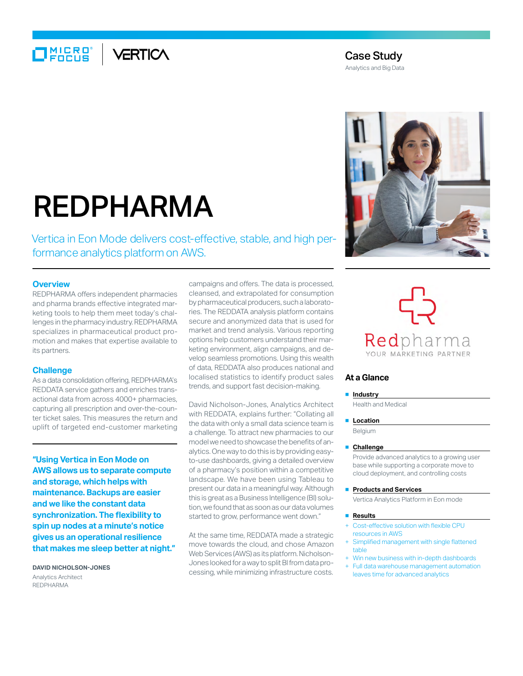## $\Box$ MIERO VERTICA

### Case Study

Analytics and Big Data

# REDPHARMA

Vertica in Eon Mode delivers cost-effective, stable, and high performance analytics platform on AWS.

#### **Overview**

REDPHARMA offers independent pharmacies and pharma brands effective integrated marketing tools to help them meet today's challenges in the pharmacy industry. REDPHARMA specializes in pharmaceutical product promotion and makes that expertise available to its partners.

#### **Challenge**

As a data consolidation offering, REDPHARMA's REDDATA service gathers and enriches transactional data from across 4000+ pharmacies, capturing all prescription and over-the-counter ticket sales. This measures the return and uplift of targeted end-customer marketing

**"Using Vertica in Eon Mode on AWS allows us to separate compute and storage, which helps with maintenance. Backups are easier and we like the constant data synchronization. The flexibility to spin up nodes at a minute's notice gives us an operational resilience that makes me sleep better at night."**

**DAVID NICHOLSON-JONES** Analytics Architect REDPHARMA

campaigns and offers. The data is processed, cleansed, and extrapolated for consumption by pharmaceutical producers, such a laboratories. The REDDATA analysis platform contains secure and anonymized data that is used for market and trend analysis. Various reporting options help customers understand their marketing environment, align campaigns, and develop seamless promotions. Using this wealth of data, REDDATA also produces national and localised statistics to identify product sales trends, and support fast decision-making.

David Nicholson-Jones, Analytics Architect with REDDATA, explains further: "Collating all the data with only a small data science team is a challenge. To attract new pharmacies to our model we need to showcase the benefits of analytics. One way to do this is by providing easyto-use dashboards, giving a detailed overview of a pharmacy's position within a competitive landscape. We have been using Tableau to present our data in a meaningful way. Although this is great as a Business Intelligence (BI) solution, we found that as soon as our data volumes started to grow, performance went down."

At the same time, REDDATA made a strategic move towards the cloud, and chose Amazon Web Services (AWS) as its platform. Nicholson-Jones looked for a way to split BI from data processing, while minimizing infrastructure costs.





#### **At a Glance**

#### ■ **Industry**

Health and Medical

■ **Location**

Belgium

#### ■ **Challenge**

Provide advanced analytics to a growing user base while supporting a corporate move to cloud deployment, and controlling costs

**Products and Services** 

Vertica Analytics Platform in Eon mode

#### ■ **Results**

- Cost-effective solution with flexible CPU resources in AWS
- Simplified management with single flattened table
- Win new business with in-depth dashboards + Full data warehouse management automation
- leaves time for advanced analytics